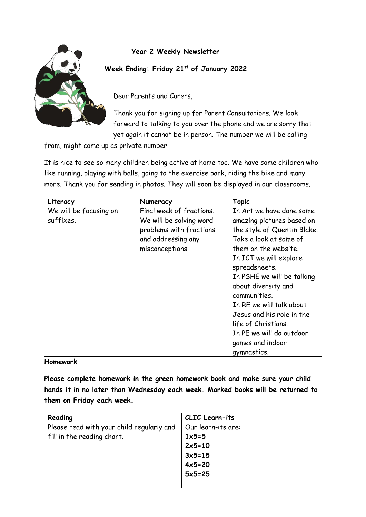

**Year 2 Weekly Newsletter**

**Week Ending: Friday 21st of January 2022**

Dear Parents and Carers,

Thank you for signing up for Parent Consultations. We look forward to talking to you over the phone and we are sorry that yet again it cannot be in person. The number we will be calling

from, might come up as private number.

It is nice to see so many children being active at home too. We have some children who like running, playing with balls, going to the exercise park, riding the bike and many more. Thank you for sending in photos. They will soon be displayed in our classrooms.

| Literacy               | Numeracy                 | <b>Topic</b>                |
|------------------------|--------------------------|-----------------------------|
| We will be focusing on | Final week of fractions. | In Art we have done some    |
| suffixes.              | We will be solving word  | amazing pictures based on   |
|                        | problems with fractions  | the style of Quentin Blake. |
|                        | and addressing any       | Take a look at some of      |
|                        | misconceptions.          | them on the website.        |
|                        |                          | In ICT we will explore      |
|                        |                          | spreadsheets.               |
|                        |                          | In PSHE we will be talking  |
|                        |                          | about diversity and         |
|                        |                          | communities.                |
|                        |                          | In RE we will talk about    |
|                        |                          | Jesus and his role in the   |
|                        |                          | life of Christians.         |
|                        |                          | In PE we will do outdoor    |
|                        |                          | games and indoor            |
|                        |                          | gymnastics.                 |

## **Homework**

**Please complete homework in the green homework book and make sure your child hands it in no later than Wednesday each week. Marked books will be returned to them on Friday each week.** 

| Reading                                   | CLIC Learn-its     |
|-------------------------------------------|--------------------|
| Please read with your child regularly and | Our learn-its are: |
| fill in the reading chart.                | $1x5=5$            |
|                                           | $2x5=10$           |
|                                           | $3x5=15$           |
|                                           | $4x5=20$           |
|                                           | $5x5=25$           |
|                                           |                    |